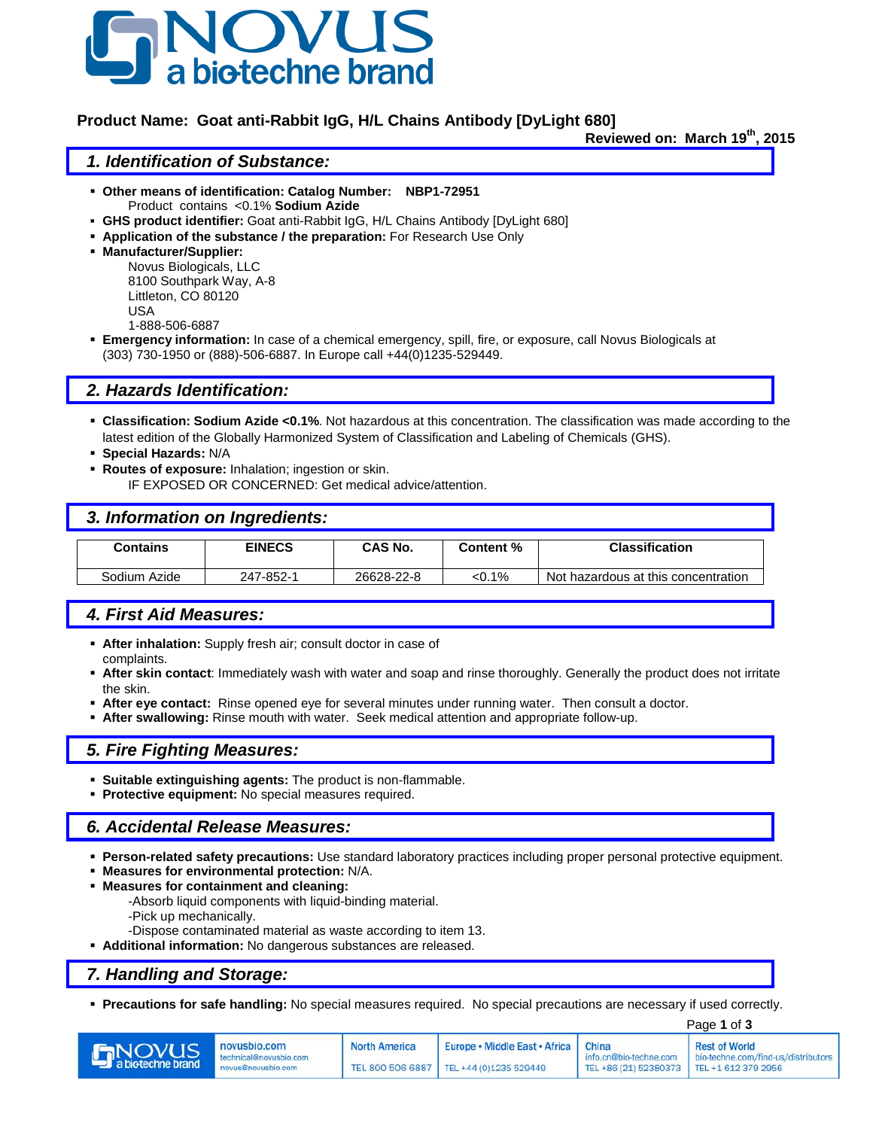

### **Product Name: Goat anti-Rabbit IgG, H/L Chains Antibody [DyLight 680]**

Reviewed on: March 19<sup>th</sup>, 2015

#### *1. Identification of Substance:*

- **Other means of identification: Catalog Number: NBP1-72951** Product contains <0.1% **Sodium Azide**
- **GHS product identifier:** Goat anti-Rabbit IgG, H/L Chains Antibody [DyLight 680]
- **Application of the substance / the preparation:** For Research Use Only
- **Manufacturer/Supplier:**

Novus Biologicals, LLC 8100 Southpark Way, A-8 Littleton, CO 80120 USA 1-888-506-6887

 **Emergency information:** In case of a chemical emergency, spill, fire, or exposure, call Novus Biologicals at (303) 730-1950 or (888)-506-6887. In Europe call +44(0)1235-529449.

## *2. Hazards Identification:*

- **Classification: Sodium Azide <0.1%**. Not hazardous at this concentration. The classification was made according to the latest edition of the Globally Harmonized System of Classification and Labeling of Chemicals (GHS).
- **Special Hazards:** N/A
- **Routes of exposure:** Inhalation; ingestion or skin.

IF EXPOSED OR CONCERNED: Get medical advice/attention.

#### *3. Information on Ingredients:*

| Contains     | <b>EINECS</b> | CAS No.    | Content % | <b>Classification</b>               |
|--------------|---------------|------------|-----------|-------------------------------------|
|              |               |            |           |                                     |
| Sodium Azide | 247-852-1     | 26628-22-8 | <0.1%     | Not hazardous at this concentration |

# *4. First Aid Measures:*

- **After inhalation:** Supply fresh air; consult doctor in case of complaints.
- **After skin contact**: Immediately wash with water and soap and rinse thoroughly. Generally the product does not irritate the skin.
- **After eye contact:** Rinse opened eye for several minutes under running water. Then consult a doctor.
- **After swallowing:** Rinse mouth with water. Seek medical attention and appropriate follow-up.

#### *5. Fire Fighting Measures:*

- **Suitable extinguishing agents:** The product is non-flammable.
- **Protective equipment:** No special measures required.

## *6. Accidental Release Measures:*

- **Person-related safety precautions:** Use standard laboratory practices including proper personal protective equipment.
- **Measures for environmental protection:** N/A.
- **Measures for containment and cleaning:**
	- -Absorb liquid components with liquid-binding material.
	- -Pick up mechanically.
	- -Dispose contaminated material as waste according to item 13.
- **Additional information:** No dangerous substances are released.

#### *7. Handling and Storage:*

**Precautions for safe handling:** No special measures required. No special precautions are necessary if used correctly.

|                                    |                                                              |                      | Page 1 of 3                                                                        |                                                                       |                                                             |
|------------------------------------|--------------------------------------------------------------|----------------------|------------------------------------------------------------------------------------|-----------------------------------------------------------------------|-------------------------------------------------------------|
| <b>ENOVUS</b><br>a biotechne brand | novusbio.com<br>technical@novusbio.com<br>novus@novusbio.com | <b>North America</b> | Europe • Middle East • Africa   China<br>TEL 800 506 6887   TEL +44 (0)1235 529449 | info.cn@bio-techne.com<br>TEL +86 (21) 52380373   TEL +1 612 379 2956 | <b>Rest of World</b><br>bio-techne.com/find-us/distributors |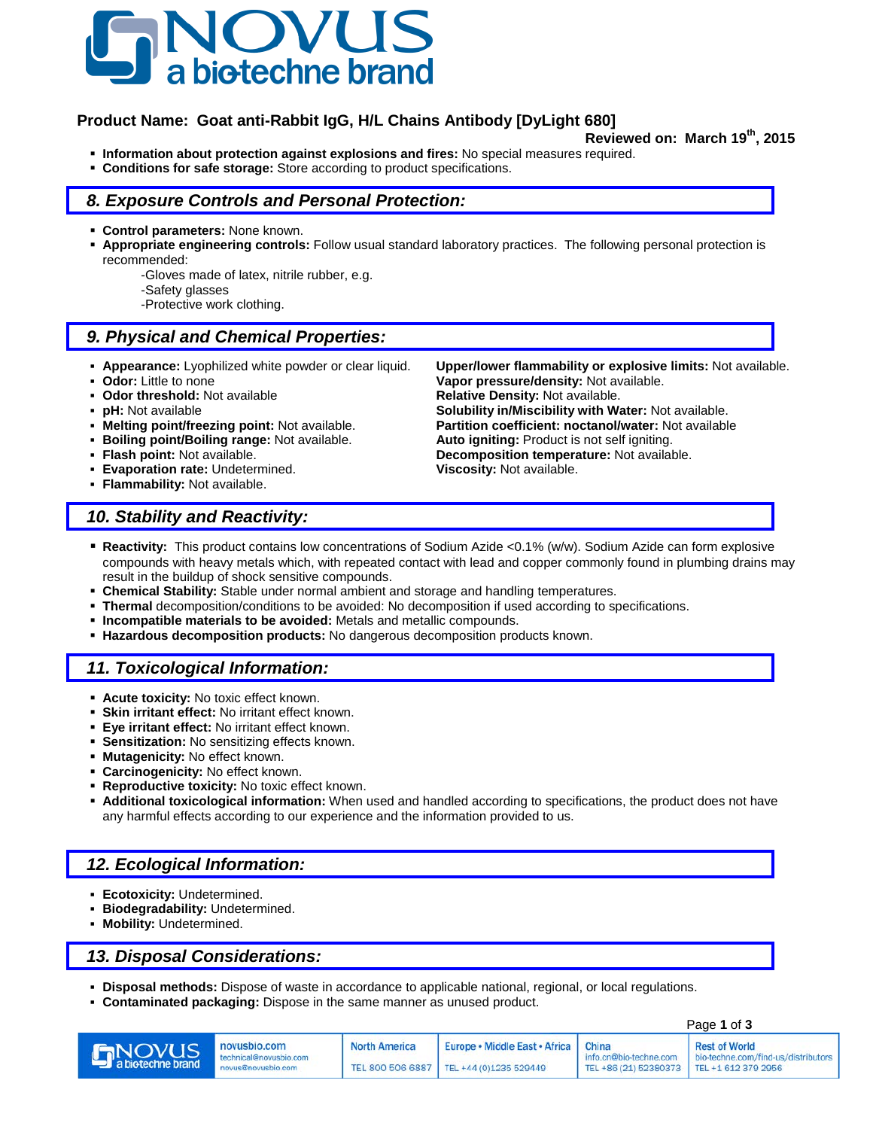

## **Product Name: Goat anti-Rabbit IgG, H/L Chains Antibody [DyLight 680]**

- **Reviewed on: March 19th, 2015 Information about protection against explosions and fires:** No special measures required.
- **Conditions for safe storage:** Store according to product specifications.

### *8. Exposure Controls and Personal Protection:*

- **Control parameters:** None known.
- **Appropriate engineering controls:** Follow usual standard laboratory practices. The following personal protection is recommended:
	- -Gloves made of latex, nitrile rubber, e.g.
	- -Safety glasses
	- -Protective work clothing.

## *9. Physical and Chemical Properties:*

- 
- 
- 
- 
- 
- **Boiling point/Boiling range: Not available.**<br> **Flash point: Not available.**
- 
- **Evaporation rate:** Undetermined. **Viscosity:** Not available.
- **Flammability:** Not available.

 **Appearance:** Lyophilized white powder or clear liquid. **Upper/lower flammability or explosive limits:** Not available. **Odor:** Little to none **Vapor pressure/density:** Not available.<br> **Odor threshold:** Not available **Constant Relative Density:** Not available. **Relative Density: Not available. pH:** Not available **phenomic in the Solubility in/Miscibility with Water:** Not available.<br>**Nelting point/freezing point:** Not available. **Partition coefficient: noctanol/water:** Not available **Partition coefficient: noctanol/water:** Not available.<br>**Auto igniting:** Product is not self igniting. **Flash point:** Not available. **Decomposition temperature:** Not available.

## *10. Stability and Reactivity:*

- **Reactivity:** This product contains low concentrations of Sodium Azide <0.1% (w/w). Sodium Azide can form explosive compounds with heavy metals which, with repeated contact with lead and copper commonly found in plumbing drains may result in the buildup of shock sensitive compounds.
- **Chemical Stability:** Stable under normal ambient and storage and handling temperatures.
- **Thermal** decomposition/conditions to be avoided: No decomposition if used according to specifications.
- **Incompatible materials to be avoided:** Metals and metallic compounds.
- **Hazardous decomposition products:** No dangerous decomposition products known.

#### *11. Toxicological Information:*

- **Acute toxicity:** No toxic effect known.
- **Skin irritant effect:** No irritant effect known.
- **Eye irritant effect:** No irritant effect known.
- **Sensitization:** No sensitizing effects known.
- **Mutagenicity:** No effect known.
- **Carcinogenicity:** No effect known.
- **Reproductive toxicity:** No toxic effect known.
- **Additional toxicological information:** When used and handled according to specifications, the product does not have any harmful effects according to our experience and the information provided to us.

## *12. Ecological Information:*

- **Ecotoxicity:** Undetermined.
- **Biodegradability:** Undetermined.
- **Mobility:** Undetermined.

## *13. Disposal Considerations:*

- **Disposal methods:** Dispose of waste in accordance to applicable national, regional, or local regulations.
- **Contaminated packaging:** Dispose in the same manner as unused product.

|                                    |                                                              |                      | Page 1 of 3                                                                |                                                                                |                                                               |
|------------------------------------|--------------------------------------------------------------|----------------------|----------------------------------------------------------------------------|--------------------------------------------------------------------------------|---------------------------------------------------------------|
| <b>INOVUS</b><br>a biotechne brand | novusbio.com<br>technical@novusbio.com<br>novus@novusbio.com | <b>North America</b> | Europe • Middle East • Africa<br>TEL 800 506 6887   TEL +44 (0)1235 529449 | China<br>info.cn@bio-techne.com<br>TEL +86 (21) 52380373   TEL +1 612 379 2956 | <b>Rest of World</b><br>I bio-techne.com/find-us/distributors |